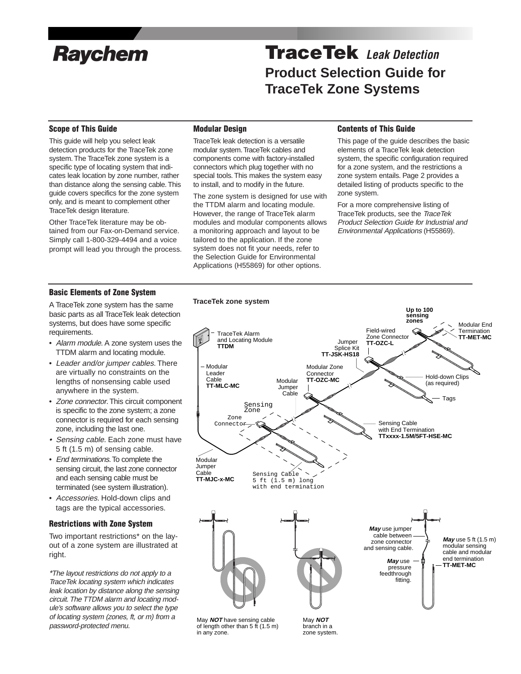

# **Raychem TraceTek** Leak Detection **Product Selection Guide for TraceTek Zone Systems**

# **Scope of This Guide**

This guide will help you select leak detection products for the TraceTek zone system. The TraceTek zone system is a specific type of locating system that indicates leak location by zone number, rather than distance along the sensing cable. This guide covers specifics for the zone system only, and is meant to complement other TraceTek design literature.

Other TraceTek literature may be obtained from our Fax-on-Demand service. Simply call 1-800-329-4494 and a voice prompt will lead you through the process.

### **Modular Design**

TraceTek leak detection is a versatile modular system.TraceTek cables and components come with factory-installed connectors which plug together with no special tools. This makes the system easy to install, and to modify in the future.

The zone system is designed for use with the TTDM alarm and locating module. However, the range of TraceTek alarm modules and modular components allows a monitoring approach and layout to be tailored to the application. If the zone system does not fit your needs, refer to the Selection Guide for Environmental Applications (H55869) for other options.

#### **Contents of This Guide**

This page of the guide describes the basic elements of a TraceTek leak detection system, the specific configuration required for a zone system, and the restrictions a zone system entails. Page 2 provides a detailed listing of products specific to the zone system.

For a more comprehensive listing of TraceTek products, see the TraceTek Product Selection Guide for Industrial and Environmental Applications (H55869).

#### **Basic Elements of Zone System**

A TraceTek zone system has the same basic parts as all TraceTek leak detection systems, but does have some specific requirements.

- Alarm module. A zone system uses the TTDM alarm and locating module.
- Leader and/or jumper cables. There are virtually no constraints on the lengths of nonsensing cable used anywhere in the system.
- Zone connector. This circuit component is specific to the zone system; a zone connector is required for each sensing zone, including the last one.
- Sensing cable. Each zone must have 5 ft (1.5 m) of sensing cable.
- End terminations. To complete the sensing circuit, the last zone connector and each sensing cable must be terminated (see system illustration).
- Accessories. Hold-down clips and tags are the typical accessories.

# **Restrictions with Zone System**

Two important restrictions\* on the layout of a zone system are illustrated at right.

\*The layout restrictions do not apply to a TraceTek locating system which indicates leak location by distance along the sensing circuit. The TTDM alarm and locating module's software allows you to select the type of locating system (zones, ft, or m) from a